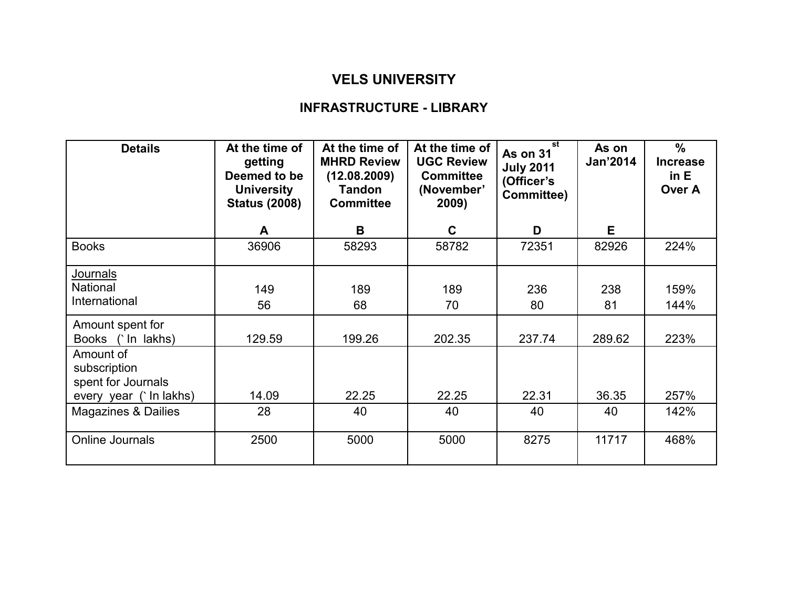## VELS UNIVERSITY

## INFRASTRUCTURE - LIBRARY

| <b>Details</b>                                                            | At the time of<br>getting<br>Deemed to be<br><b>University</b><br><b>Status (2008)</b> | At the time of<br><b>MHRD Review</b><br>(12.08.2009)<br><b>Tandon</b><br><b>Committee</b> | At the time of<br><b>UGC Review</b><br><b>Committee</b><br>(November'<br>2009) | st<br>As on 31<br><b>July 2011</b><br>(Officer's<br>Committee) | As on<br>Jan'2014 | $\frac{0}{0}$<br><b>Increase</b><br>in E<br>Over A |
|---------------------------------------------------------------------------|----------------------------------------------------------------------------------------|-------------------------------------------------------------------------------------------|--------------------------------------------------------------------------------|----------------------------------------------------------------|-------------------|----------------------------------------------------|
|                                                                           | A                                                                                      | B                                                                                         | $\mathbf{C}$                                                                   | D                                                              | E.                |                                                    |
| <b>Books</b>                                                              | 36906                                                                                  | 58293                                                                                     | 58782                                                                          | 72351                                                          | 82926             | 224%                                               |
| <b>Journals</b><br><b>National</b><br>International                       | 149<br>56                                                                              | 189<br>68                                                                                 | 189<br>70                                                                      | 236<br>80                                                      | 238<br>81         | 159%<br>144%                                       |
| Amount spent for<br>Books (`In lakhs)                                     | 129.59                                                                                 | 199.26                                                                                    | 202.35                                                                         | 237.74                                                         | 289.62            | 223%                                               |
| Amount of<br>subscription<br>spent for Journals<br>every year (`In lakhs) | 14.09                                                                                  | 22.25                                                                                     | 22.25                                                                          | 22.31                                                          | 36.35             | 257%                                               |
| <b>Magazines &amp; Dailies</b>                                            | 28                                                                                     | 40                                                                                        | 40                                                                             | 40                                                             | 40                | 142%                                               |
| Online Journals                                                           | 2500                                                                                   | 5000                                                                                      | 5000                                                                           | 8275                                                           | 11717             | 468%                                               |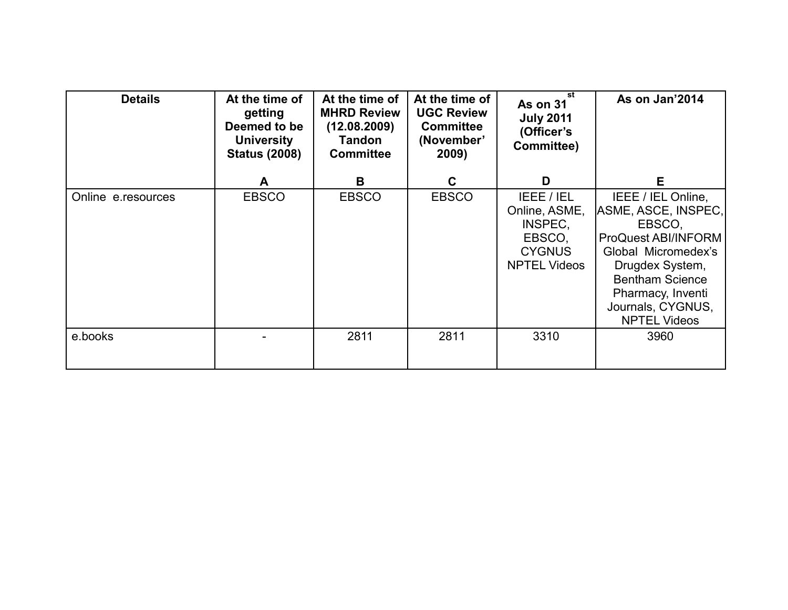| <b>Details</b>     | At the time of<br>getting<br>Deemed to be<br><b>University</b><br><b>Status (2008)</b> | At the time of<br><b>MHRD Review</b><br>(12.08.2009)<br><b>Tandon</b><br><b>Committee</b> | At the time of<br><b>UGC Review</b><br><b>Committee</b><br>(November'<br>2009) | st<br><b>As on 31</b><br><b>July 2011</b><br>(Officer's<br>Committee)                    | As on Jan'2014                                                                                                                                                                                                         |
|--------------------|----------------------------------------------------------------------------------------|-------------------------------------------------------------------------------------------|--------------------------------------------------------------------------------|------------------------------------------------------------------------------------------|------------------------------------------------------------------------------------------------------------------------------------------------------------------------------------------------------------------------|
|                    | A                                                                                      | B                                                                                         | C.                                                                             | D                                                                                        | Е                                                                                                                                                                                                                      |
| Online e.resources | <b>EBSCO</b>                                                                           | <b>EBSCO</b>                                                                              | <b>EBSCO</b>                                                                   | IEEE / IEL<br>Online, ASME,<br>INSPEC,<br>EBSCO,<br><b>CYGNUS</b><br><b>NPTEL Videos</b> | IEEE / IEL Online,<br>ASME, ASCE, INSPEC,<br>EBSCO,<br><b>ProQuest ABI/INFORM</b><br>Global Micromedex's<br>Drugdex System,<br><b>Bentham Science</b><br>Pharmacy, Inventi<br>Journals, CYGNUS,<br><b>NPTEL Videos</b> |
| e.books            |                                                                                        | 2811                                                                                      | 2811                                                                           | 3310                                                                                     | 3960                                                                                                                                                                                                                   |